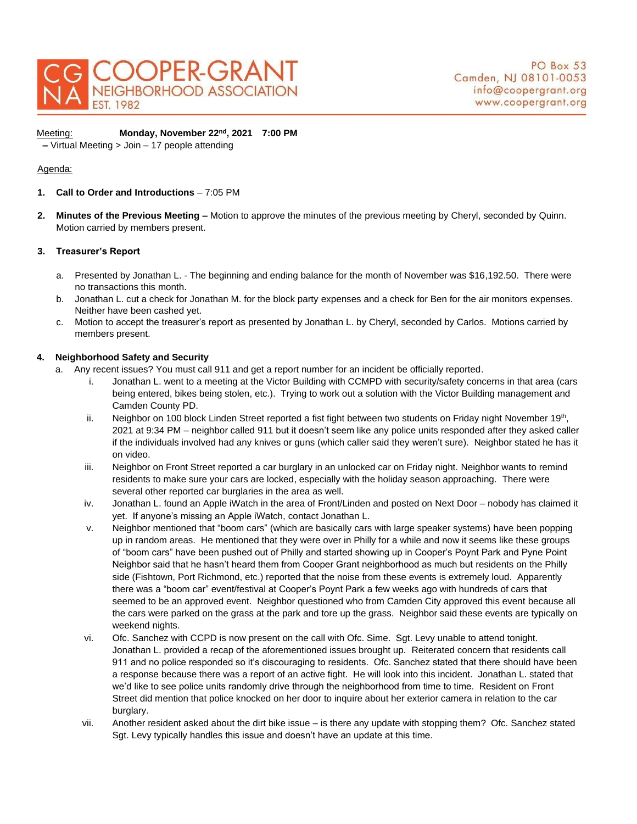

Meeting: **Monday, November 22nd, 2021 7:00 PM –** Virtual Meeting > Join – 17 people attending

# Agenda:

- **1. Call to Order and Introductions**  7:05 PM
- **2. Minutes of the Previous Meeting –** Motion to approve the minutes of the previous meeting by Cheryl, seconded by Quinn. Motion carried by members present.

#### **3. Treasurer's Report**

- a. Presented by Jonathan L. The beginning and ending balance for the month of November was \$16,192.50. There were no transactions this month.
- b. Jonathan L. cut a check for Jonathan M. for the block party expenses and a check for Ben for the air monitors expenses. Neither have been cashed yet.
- c. Motion to accept the treasurer's report as presented by Jonathan L. by Cheryl, seconded by Carlos. Motions carried by members present.

## **4. Neighborhood Safety and Security**

- a. Any recent issues? You must call 911 and get a report number for an incident be officially reported.
	- i. Jonathan L. went to a meeting at the Victor Building with CCMPD with security/safety concerns in that area (cars being entered, bikes being stolen, etc.). Trying to work out a solution with the Victor Building management and Camden County PD.
	- ii. Neighbor on 100 block Linden Street reported a fist fight between two students on Friday night November 19<sup>th</sup>, 2021 at 9:34 PM – neighbor called 911 but it doesn't seem like any police units responded after they asked caller if the individuals involved had any knives or guns (which caller said they weren't sure). Neighbor stated he has it on video.
	- iii. Neighbor on Front Street reported a car burglary in an unlocked car on Friday night. Neighbor wants to remind residents to make sure your cars are locked, especially with the holiday season approaching. There were several other reported car burglaries in the area as well.
	- iv. Jonathan L. found an Apple iWatch in the area of Front/Linden and posted on Next Door nobody has claimed it yet. If anyone's missing an Apple iWatch, contact Jonathan L.
	- v. Neighbor mentioned that "boom cars" (which are basically cars with large speaker systems) have been popping up in random areas. He mentioned that they were over in Philly for a while and now it seems like these groups of "boom cars" have been pushed out of Philly and started showing up in Cooper's Poynt Park and Pyne Point Neighbor said that he hasn't heard them from Cooper Grant neighborhood as much but residents on the Philly side (Fishtown, Port Richmond, etc.) reported that the noise from these events is extremely loud. Apparently there was a "boom car" event/festival at Cooper's Poynt Park a few weeks ago with hundreds of cars that seemed to be an approved event. Neighbor questioned who from Camden City approved this event because all the cars were parked on the grass at the park and tore up the grass. Neighbor said these events are typically on weekend nights.
	- vi. Ofc. Sanchez with CCPD is now present on the call with Ofc. Sime. Sgt. Levy unable to attend tonight. Jonathan L. provided a recap of the aforementioned issues brought up. Reiterated concern that residents call 911 and no police responded so it's discouraging to residents. Ofc. Sanchez stated that there should have been a response because there was a report of an active fight. He will look into this incident. Jonathan L. stated that we'd like to see police units randomly drive through the neighborhood from time to time. Resident on Front Street did mention that police knocked on her door to inquire about her exterior camera in relation to the car burglary.
	- vii. Another resident asked about the dirt bike issue is there any update with stopping them? Ofc. Sanchez stated Sgt. Levy typically handles this issue and doesn't have an update at this time.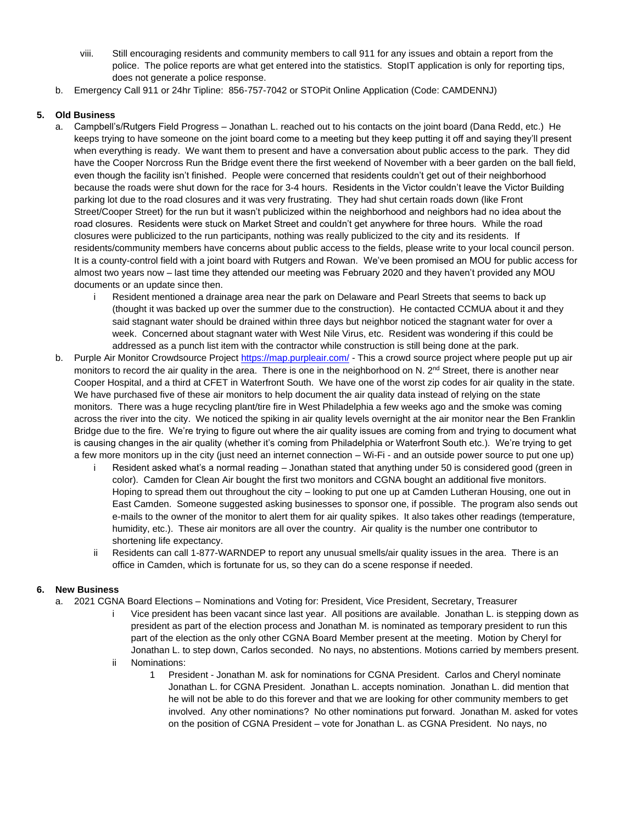- viii. Still encouraging residents and community members to call 911 for any issues and obtain a report from the police. The police reports are what get entered into the statistics. StopIT application is only for reporting tips, does not generate a police response.
- b. Emergency Call 911 or 24hr Tipline: 856-757-7042 or STOPit Online Application (Code: CAMDENNJ)

## **5. Old Business**

- a. Campbell's/Rutgers Field Progress Jonathan L. reached out to his contacts on the joint board (Dana Redd, etc.) He keeps trying to have someone on the joint board come to a meeting but they keep putting it off and saying they'll present when everything is ready. We want them to present and have a conversation about public access to the park. They did have the Cooper Norcross Run the Bridge event there the first weekend of November with a beer garden on the ball field, even though the facility isn't finished. People were concerned that residents couldn't get out of their neighborhood because the roads were shut down for the race for 3-4 hours. Residents in the Victor couldn't leave the Victor Building parking lot due to the road closures and it was very frustrating. They had shut certain roads down (like Front Street/Cooper Street) for the run but it wasn't publicized within the neighborhood and neighbors had no idea about the road closures. Residents were stuck on Market Street and couldn't get anywhere for three hours. While the road closures were publicized to the run participants, nothing was really publicized to the city and its residents. If residents/community members have concerns about public access to the fields, please write to your local council person. It is a county-control field with a joint board with Rutgers and Rowan. We've been promised an MOU for public access for almost two years now – last time they attended our meeting was February 2020 and they haven't provided any MOU documents or an update since then.
	- i Resident mentioned a drainage area near the park on Delaware and Pearl Streets that seems to back up (thought it was backed up over the summer due to the construction). He contacted CCMUA about it and they said stagnant water should be drained within three days but neighbor noticed the stagnant water for over a week. Concerned about stagnant water with West Nile Virus, etc. Resident was wondering if this could be addressed as a punch list item with the contractor while construction is still being done at the park.
- b. Purple Air Monitor Crowdsource Project<https://map.purpleair.com/> This a crowd source project where people put up air monitors to record the air quality in the area. There is one in the neighborhood on N.  $2^{nd}$  Street, there is another near Cooper Hospital, and a third at CFET in Waterfront South. We have one of the worst zip codes for air quality in the state. We have purchased five of these air monitors to help document the air quality data instead of relying on the state monitors. There was a huge recycling plant/tire fire in West Philadelphia a few weeks ago and the smoke was coming across the river into the city. We noticed the spiking in air quality levels overnight at the air monitor near the Ben Franklin Bridge due to the fire. We're trying to figure out where the air quality issues are coming from and trying to document what is causing changes in the air quality (whether it's coming from Philadelphia or Waterfront South etc.). We're trying to get a few more monitors up in the city (just need an internet connection – Wi-Fi - and an outside power source to put one up)
	- Resident asked what's a normal reading Jonathan stated that anything under 50 is considered good (green in color). Camden for Clean Air bought the first two monitors and CGNA bought an additional five monitors. Hoping to spread them out throughout the city – looking to put one up at Camden Lutheran Housing, one out in East Camden. Someone suggested asking businesses to sponsor one, if possible. The program also sends out e-mails to the owner of the monitor to alert them for air quality spikes. It also takes other readings (temperature, humidity, etc.). These air monitors are all over the country. Air quality is the number one contributor to shortening life expectancy.
	- ii Residents can call 1-877-WARNDEP to report any unusual smells/air quality issues in the area. There is an office in Camden, which is fortunate for us, so they can do a scene response if needed.

## **6. New Business**

- a. 2021 CGNA Board Elections Nominations and Voting for: President, Vice President, Secretary, Treasurer
	- i Vice president has been vacant since last year. All positions are available. Jonathan L. is stepping down as president as part of the election process and Jonathan M. is nominated as temporary president to run this part of the election as the only other CGNA Board Member present at the meeting. Motion by Cheryl for Jonathan L. to step down, Carlos seconded. No nays, no abstentions. Motions carried by members present.
	- ii Nominations:
		- 1 President Jonathan M. ask for nominations for CGNA President. Carlos and Cheryl nominate Jonathan L. for CGNA President. Jonathan L. accepts nomination. Jonathan L. did mention that he will not be able to do this forever and that we are looking for other community members to get involved. Any other nominations? No other nominations put forward. Jonathan M. asked for votes on the position of CGNA President – vote for Jonathan L. as CGNA President. No nays, no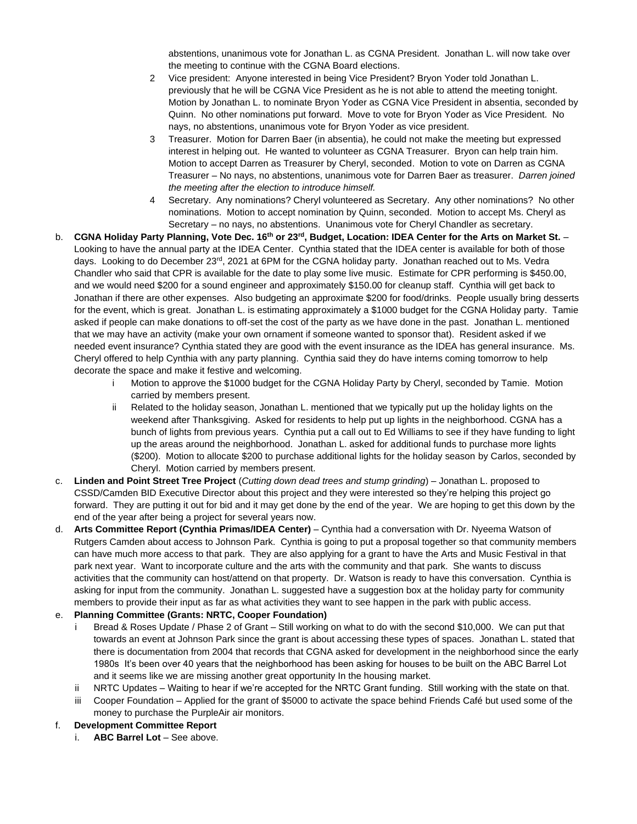abstentions, unanimous vote for Jonathan L. as CGNA President. Jonathan L. will now take over the meeting to continue with the CGNA Board elections.

- 2 Vice president: Anyone interested in being Vice President? Bryon Yoder told Jonathan L. previously that he will be CGNA Vice President as he is not able to attend the meeting tonight. Motion by Jonathan L. to nominate Bryon Yoder as CGNA Vice President in absentia, seconded by Quinn. No other nominations put forward. Move to vote for Bryon Yoder as Vice President. No nays, no abstentions, unanimous vote for Bryon Yoder as vice president.
- 3 Treasurer. Motion for Darren Baer (in absentia), he could not make the meeting but expressed interest in helping out. He wanted to volunteer as CGNA Treasurer. Bryon can help train him. Motion to accept Darren as Treasurer by Cheryl, seconded. Motion to vote on Darren as CGNA Treasurer – No nays, no abstentions, unanimous vote for Darren Baer as treasurer. *Darren joined the meeting after the election to introduce himself.*
- 4 Secretary. Any nominations? Cheryl volunteered as Secretary. Any other nominations? No other nominations. Motion to accept nomination by Quinn, seconded. Motion to accept Ms. Cheryl as Secretary – no nays, no abstentions. Unanimous vote for Cheryl Chandler as secretary.
- b. **CGNA Holiday Party Planning, Vote Dec. 16th or 23rd, Budget, Location: IDEA Center for the Arts on Market St.** Looking to have the annual party at the IDEA Center. Cynthia stated that the IDEA center is available for both of those days. Looking to do December 23<sup>rd</sup>, 2021 at 6PM for the CGNA holiday party. Jonathan reached out to Ms. Vedra Chandler who said that CPR is available for the date to play some live music. Estimate for CPR performing is \$450.00, and we would need \$200 for a sound engineer and approximately \$150.00 for cleanup staff. Cynthia will get back to Jonathan if there are other expenses. Also budgeting an approximate \$200 for food/drinks. People usually bring desserts for the event, which is great. Jonathan L. is estimating approximately a \$1000 budget for the CGNA Holiday party. Tamie asked if people can make donations to off-set the cost of the party as we have done in the past. Jonathan L. mentioned that we may have an activity (make your own ornament if someone wanted to sponsor that). Resident asked if we needed event insurance? Cynthia stated they are good with the event insurance as the IDEA has general insurance. Ms. Cheryl offered to help Cynthia with any party planning. Cynthia said they do have interns coming tomorrow to help decorate the space and make it festive and welcoming.
	- i Motion to approve the \$1000 budget for the CGNA Holiday Party by Cheryl, seconded by Tamie. Motion carried by members present.
	- ii Related to the holiday season, Jonathan L. mentioned that we typically put up the holiday lights on the weekend after Thanksgiving. Asked for residents to help put up lights in the neighborhood. CGNA has a bunch of lights from previous years. Cynthia put a call out to Ed Williams to see if they have funding to light up the areas around the neighborhood. Jonathan L. asked for additional funds to purchase more lights (\$200). Motion to allocate \$200 to purchase additional lights for the holiday season by Carlos, seconded by Cheryl. Motion carried by members present.
- c. **Linden and Point Street Tree Project** (*Cutting down dead trees and stump grinding*) Jonathan L. proposed to CSSD/Camden BID Executive Director about this project and they were interested so they're helping this project go forward. They are putting it out for bid and it may get done by the end of the year. We are hoping to get this down by the end of the year after being a project for several years now.
- d. **Arts Committee Report (Cynthia Primas/IDEA Center)** Cynthia had a conversation with Dr. Nyeema Watson of Rutgers Camden about access to Johnson Park. Cynthia is going to put a proposal together so that community members can have much more access to that park. They are also applying for a grant to have the Arts and Music Festival in that park next year. Want to incorporate culture and the arts with the community and that park. She wants to discuss activities that the community can host/attend on that property. Dr. Watson is ready to have this conversation. Cynthia is asking for input from the community. Jonathan L. suggested have a suggestion box at the holiday party for community members to provide their input as far as what activities they want to see happen in the park with public access.

### e. **Planning Committee (Grants: NRTC, Cooper Foundation)**

- i Bread & Roses Update / Phase 2 of Grant Still working on what to do with the second \$10,000. We can put that towards an event at Johnson Park since the grant is about accessing these types of spaces. Jonathan L. stated that there is documentation from 2004 that records that CGNA asked for development in the neighborhood since the early 1980s It's been over 40 years that the neighborhood has been asking for houses to be built on the ABC Barrel Lot and it seems like we are missing another great opportunity In the housing market.
- ii NRTC Updates Waiting to hear if we're accepted for the NRTC Grant funding. Still working with the state on that.
- iii Cooper Foundation Applied for the grant of \$5000 to activate the space behind Friends Café but used some of the money to purchase the PurpleAir air monitors.

## f. **Development Committee Report**

i. **ABC Barrel Lot** – See above.